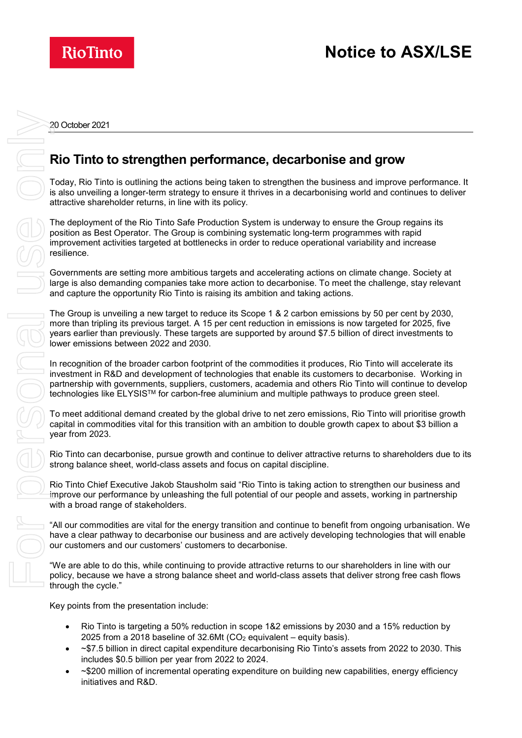

20 October 2021

## **Rio Tinto to strengthen performance, decarbonise and grow**

Today, Rio Tinto is outlining the actions being taken to strengthen the business and improve performance. It is also unveiling a longer-term strategy to ensure it thrives in a decarbonising world and continues to deliver attractive shareholder returns, in line with its policy.

The deployment of the Rio Tinto Safe Production System is underway to ensure the Group regains its position as Best Operator. The Group is combining systematic long-term programmes with rapid improvement activities targeted at bottlenecks in order to reduce operational variability and increase resilience.

Governments are setting more ambitious targets and accelerating actions on climate change. Society at large is also demanding companies take more action to decarbonise. To meet the challenge, stay relevant and capture the opportunity Rio Tinto is raising its ambition and taking actions.

The Group is unveiling a new target to reduce its Scope 1 & 2 carbon emissions by 50 per cent by 2030, more than tripling its previous target. A 15 per cent reduction in emissions is now targeted for 2025, five years earlier than previously. These targets are supported by around \$7.5 billion of direct investments to lower emissions between 2022 and 2030.

In recognition of the broader carbon footprint of the commodities it produces, Rio Tinto will accelerate its investment in R&D and development of technologies that enable its customers to decarbonise. Working in partnership with governments, suppliers, customers, academia and others Rio Tinto will continue to develop technologies like ELYSIS™ for carbon-free aluminium and multiple pathways to produce green steel.

To meet additional demand created by the global drive to net zero emissions, Rio Tinto will prioritise growth capital in commodities vital for this transition with an ambition to double growth capex to about \$3 billion a year from 2023.

Rio Tinto can decarbonise, pursue growth and continue to deliver attractive returns to shareholders due to its strong balance sheet, world-class assets and focus on capital discipline.

Rio Tinto Chief Executive Jakob Stausholm said "Rio Tinto is taking action to strengthen our business and improve our performance by unleashing the full potential of our people and assets, working in partnership with a broad range of stakeholders.

"All our commodities are vital for the energy transition and continue to benefit from ongoing urbanisation. We have a clear pathway to decarbonise our business and are actively developing technologies that will enable our customers and our customers' customers to decarbonise.

"We are able to do this, while continuing to provide attractive returns to our shareholders in line with our policy, because we have a strong balance sheet and world-class assets that deliver strong free cash flows through the cycle."

Key points from the presentation include:

- Rio Tinto is targeting a 50% reduction in scope 1&2 emissions by 2030 and a 15% reduction by 2025 from a 2018 baseline of  $32.6$ Mt (CO<sub>2</sub> equivalent – equity basis).
- ~\$7.5 billion in direct capital expenditure decarbonising Rio Tinto's assets from 2022 to 2030. This includes \$0.5 billion per year from 2022 to 2024.
- ~\$200 million of incremental operating expenditure on building new capabilities, energy efficiency initiatives and R&D.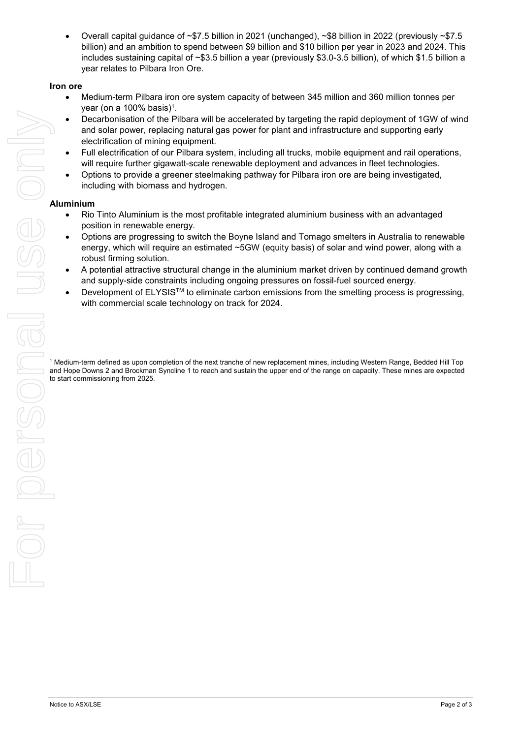• Overall capital guidance of ~\$7.5 billion in 2021 (unchanged), ~\$8 billion in 2022 (previously ~\$7.5 billion) and an ambition to spend between \$9 billion and \$10 billion per year in 2023 and 2024. This includes sustaining capital of ~\$3.5 billion a year (previously \$3.0-3.5 billion), of which \$1.5 billion a year relates to Pilbara Iron Ore.

#### **Iron ore**

- Medium-term Pilbara iron ore system capacity of between 345 million and 360 million tonnes per year (on a  $100\%$  basis)<sup>1</sup>.
- Decarbonisation of the Pilbara will be accelerated by targeting the rapid deployment of 1GW of wind and solar power, replacing natural gas power for plant and infrastructure and supporting early electrification of mining equipment.
- Full electrification of our Pilbara system, including all trucks, mobile equipment and rail operations, will require further gigawatt-scale renewable deployment and advances in fleet technologies.
- Options to provide a greener steelmaking pathway for Pilbara iron ore are being investigated, including with biomass and hydrogen.

#### **Aluminium**

- Rio Tinto Aluminium is the most profitable integrated aluminium business with an advantaged position in renewable energy.
- Options are progressing to switch the Boyne Island and Tomago smelters in Australia to renewable energy, which will require an estimated ~5GW (equity basis) of solar and wind power, along with a robust firming solution.
- A potential attractive structural change in the aluminium market driven by continued demand growth and supply-side constraints including ongoing pressures on fossil-fuel sourced energy.
- Development of ELYSIS™ to eliminate carbon emissions from the smelting process is progressing, with commercial scale technology on track for 2024.

<sup>1</sup> Medium-term defined as upon completion of the next tranche of new replacement mines, including Western Range, Bedded Hill Top and Hope Downs 2 and Brockman Syncline 1 to reach and sustain the upper end of the range on capacity. These mines are expected